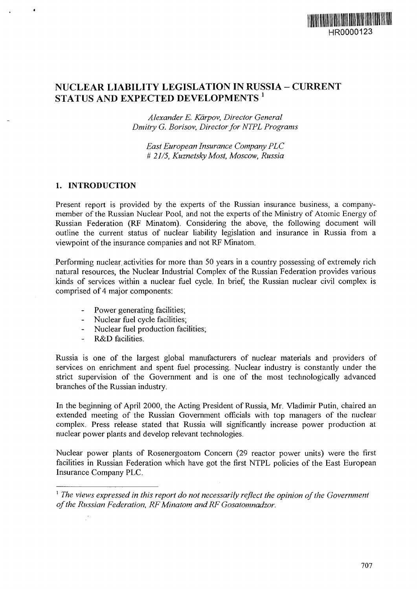

# NUCLEAR LIABILITY LEGISLATION IN RUSSIA - CURRENT  $\mathbf S$ tatus and expected developments  $^{\textrm{\tiny{\textit{1}}}}$

*Alexander E. Karpov, Director General Dmitry G. Borisov, Director for NTPL Programs*

*East European Insurance Company PLC* # *21/5, Kuznetsky Most, Moscow, Russia*

#### **1. INTRODUCTION**

Present report is provided by the experts of the Russian insurance business, a companymember of the Russian Nuclear Pool, and not the experts of the Ministry of Atomic Energy of Russian Federation (RF Minatom). Considering the above, the following document wili outline the current status of nuclear liability legislation and insurance in Russia from a viewpoint of the insurance companies and not RF Minatom.

Performing nuclear, activities for more than 50 years in a country possessing of extremely rich natural resources, the Nuclear Industrial Complex of the Russian Federation provides various kinds of services within a nuclear fuel cycle. In brief, the Russian nuclear civil complex is comprised of 4 major components:

- Power generating facilities;
- Nuclear fuel cycle facilities;
- Nuclear fuel production facilities;
- R&D facilities.

Russia is one of the largest global manufacturers of nuclear materials and providers of services on enrichment and spent fuel processing. Nuclear industry is constantly under the strict supervision of the Government and is one of the most technologically advanced branches of the Russian industry.

In the beginning of April 2000, the Acting President of Russia, Mr. Vladimir Putin, chaired an extended meeting of the Russian Government officials with top managers of the nuclear complex. Press release stated that Russia will significantly increase power production at nuclear power plants and develop relevant technologies.

Nuclear power plants of Rosenergoatom Concern (29 reactor power units) were the first facilities in Russian Federation which have got the first NTPL policies of the East European Insurance Company PLC.

<sup>&</sup>lt;sup>1</sup> The views expressed in this report do not necessarily reflect the opinion of the Government *of the Russian Federation, RF Minatom and RF Gosatomnadzor.*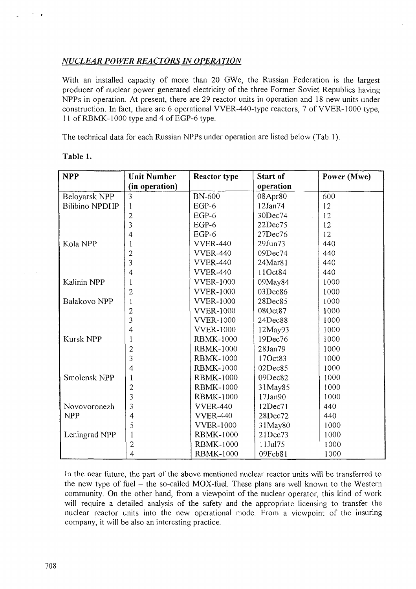## *NUCLEAR POWER REACTORS IN OPERA TION*

With an installed capacity of more than 20 GWe, the Russian Federation is the largest producer of nuclear power generated electricity of the three Former Soviet Republics having NPPs in operation. At present, there are 29 reactor units in operation and 18 new units under construction. In fact, there are 6 operational VVER-440-type reactors, 7 of VVER-1000 type, 11 of RBMK-1000 type and 4 of EGP-6 type.

The technical data for each Russian NPPs under operation are listed below (Tab. 1).

| <b>NPP</b>            | <b>Unit Number</b> | <b>Reactor type</b> | <b>Start of</b> | Power (Mwe) |
|-----------------------|--------------------|---------------------|-----------------|-------------|
|                       | (in operation)     |                     | operation       |             |
| Beloyarsk NPP         | 3                  | <b>BN-600</b>       | 08Apr80         | 600         |
| <b>Bilibino NPDHP</b> | 1                  | $EGP-6$             | 12Jan74         | 12          |
|                       | $\overline{c}$     | $EGP-6$             | 30Dec74         | 12          |
|                       | 3                  | $EGP-6$             | 22Dec75         | 12          |
|                       | $\overline{4}$     | $EGP-6$             | 27Dec76         | 12          |
| Kola NPP              | 1                  | <b>VVER-440</b>     | 29Jun73         | 440         |
|                       | $\overline{c}$     | <b>VVER-440</b>     | 09Dec74         | 440         |
|                       | 3                  | <b>VVER-440</b>     | 24Mar81         | 440         |
|                       | $\overline{4}$     | <b>VVER-440</b>     | 11Oct84         | 440         |
| Kalinin NPP           | 1                  | <b>VVER-1000</b>    | 09May84         | 1000        |
|                       | $\overline{2}$     | <b>VVER-1000</b>    | 03Dec86         | 1000        |
| Balakovo NPP          | $\mathbf{1}$       | <b>VVER-1000</b>    | 28Dec85         | 1000        |
|                       | $\overline{c}$     | <b>VVER-1000</b>    | 08Oct87         | 1000        |
|                       | 3                  | <b>VVER-1000</b>    | 24Dec88         | 1000        |
|                       | $\overline{4}$     | <b>VVER-1000</b>    | $12$ May93      | 1000        |
| <b>Kursk NPP</b>      | 1                  | <b>RBMK-1000</b>    | 19Dec76         | 1000        |
|                       | $\overline{2}$     | <b>RBMK-1000</b>    | 28Jan79         | 1000        |
|                       | $\overline{3}$     | <b>RBMK-1000</b>    | 17Oct83         | 1000        |
|                       | 4                  | <b>RBMK-1000</b>    | 02Dec85         | 1000        |
| Smolensk NPP          | 1                  | <b>RBMK-1000</b>    | 09Dec82         | 1000        |
|                       | $\overline{c}$     | <b>RBMK-1000</b>    | 31May85         | 1000        |
|                       | 3                  | <b>RBMK-1000</b>    | 17Jan90         | 1000        |
| Novovoronezh          | 3                  | <b>VVER-440</b>     | 12Dec71         | 440         |
| <b>NPP</b>            | 4                  | <b>VVER-440</b>     | 28Dec72         | 440         |
|                       | 5                  | <b>VVER-1000</b>    | 31May80         | 1000        |
| Leningrad NPP         |                    | <b>RBMK-1000</b>    | 21Dec73         | 1000        |
|                       | $\mathbf{2}$       | <b>RBMK-1000</b>    | 11Jul75         | 1000        |
|                       | $\overline{4}$     | <b>RBMK-1000</b>    | 09Feb81         | 1000        |

**Table 1.**

In the near future, the part of the above mentioned nuclear reactor units will be transferred to the new type of fuel  $-$  the so-called MOX-fuel. These plans are well known to the Western community. On the other hand, from a viewpoint of the nuclear operator, this kind of work will require a detailed analysis of the safety and the appropriate licensing to transfer the nuclear reactor units into the new operational mode. From a viewpoint of the insuring company, it will be also an interesting practice.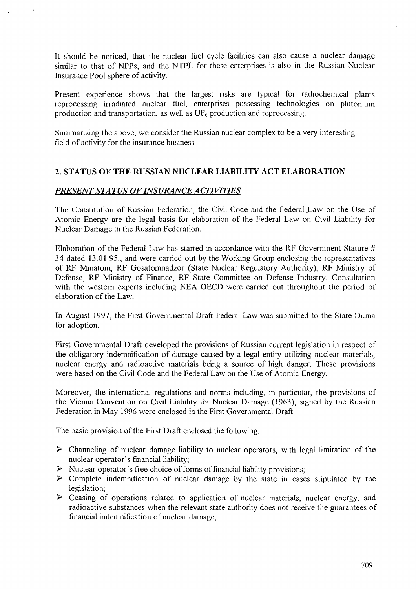It should be noticed, that the nuclear fuel cycle facilities can also cause a nuclear damage similar to that of NPPs, and the NTPL for these enterprises is also in the Russian Nuclear Insurance Pool sphere of activity.

Present experience shows that the largest risks are typical for radiochemical plants reprocessing irradiated nuclear fuel, enterprises possessing technologies on plutonium production and transportation, as well as  $UF<sub>6</sub>$  production and reprocessing.

Summarizing the above, we consider the Russian nuclear complex to be a very interesting field of activity for the insurance business.

## **2. STATUS OF THE RUSSIAN NUCLEAR LIABILITY ACT ELABORATION**

## *PRESENT STA TUS OF INSURANCE A CTIVITIES*

The Constitution of Russian Federation, the Civil Code and the Federal Law on the Use of Atomic Energy are the legal basis for elaboration of the Federal Law on Civil Liability for Nuclear Damage in the Russian Federation.

Elaboration of the Federal Law has started in accordance with the RF Government Statute # 34 dated 13.01.95., and were carried out by the Working Group enclosing the representatives of RF Minatom, RF Gosatomnadzor (State Nuclear Regulatory Authority), RF Ministry of Defense, RF Ministry of Finance, RF State Committee on Defense Industry. Consultation with the western experts including NEA OECD were carried out throughout the period of elaboration of the Law.

In August 1997, the First Governmental Draft Federal Law was submitted to the State Duma for adoption.

First Governmental Draft developed the provisions of Russian current legislation in respect of the obligatory indemnification of damage caused by a legal entity utilizing nuclear materials, nuclear energy and radioactive materials being a source of high danger. These provisions were based on the Civil Code and the Federal Law on the Use of Atomic Energy.

Moreover, the international regulations and norms including, in particular, the provisions of the Vienna Convention on Civil Liability for Nuclear Damage (1963), signed by the Russian Federation in May 1996 were enclosed in the First Governmental Draft.

The basic provision of the First Draft enclosed the following:

- $\triangleright$  Channeling of nuclear damage liability to nuclear operators, with legal limitation of the nuclear operator's financial liability;
- *>* Nuclear operator's free choice of forms of financial liability provisions;
- $\triangleright$  Complete indemnification of nuclear damage by the state in cases stipulated by the legislation;
- $\triangleright$  Ceasing of operations related to application of nuclear materials, nuclear energy, and radioactive substances when the relevant state authority does not receive the guarantees of financial indemnification of nuclear damage;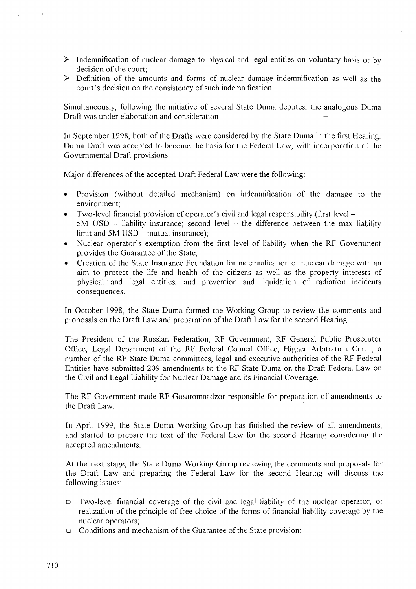- $\triangleright$  Indemnification of nuclear damage to physical and legal entities on voluntary basis or by decision of the court;
- $\triangleright$  Definition of the amounts and forms of nuclear damage indemnification as well as the court's decision on the consistency of such indemnification.

Simultaneously, following the initiative of several State Duma deputes, the analogous Duma Draft was under elaboration and consideration.

In September 1998, both of the Drafts were considered by the State Duma in the first Hearing. Duma Draft was accepted to become the basis for the Federal Law, with incorporation of the Governmental Draft provisions.

Major differences of the accepted Draft Federal Law were the following:

- Provision (without detailed mechanism) on indemnification of the damage to the environment;
- Two-level financial provision of operator's civil and legal responsibility (first level  $5M$  USD - liability insurance; second level - the difference between the max liability limit and  $5M$  USD – mutual insurance);
- Nuclear operator's exemption from the first level of liability when the RF Government provides the Guarantee of the State;
- Creation of the State Insurance Foundation for indemnification of nuclear damage with an aim to protect the life and health of the citizens as well as the property interests of physical ' and legal entities, and prevention and liquidation of radiation incidents consequences.

In October 1998, the State Duma formed the Working Group to review the comments and proposals on the Draft Law and preparation of the Draft Law for the second Hearing.

The President of the Russian Federation, RF Government, RF General Public Prosecutor Office, Legal Department of the RF Federal Council Office, Higher Arbitration Court, a number of the RF State Duma committees, legal and executive authorities of the RF Federal Entities have submitted 209 amendments to the RF State Duma on the Draft Federal Law on the Civil and Legal Liability for Nuclear Damage and its Financial Coverage.

The RF Government made RF Gosatomnadzor responsible for preparation of amendments to the Draft Law.

In April 1999, the State Duma Working Group has finished the review of all amendments, and started to prepare the text of the Federal Law for the second Hearing considering the accepted amendments.

At the next stage, the State Duma Working Group reviewing the comments and proposals for the Draft Law and preparing the Federal Law for the second Hearing will discuss the following issues:

- a Two-level financial coverage of the civil and legal liability of the nuclear operator, or realization of the principle of free choice of the forms of financial liability coverage by the nuclear operators;
- a Conditions and mechanism of the Guarantee of the State provision;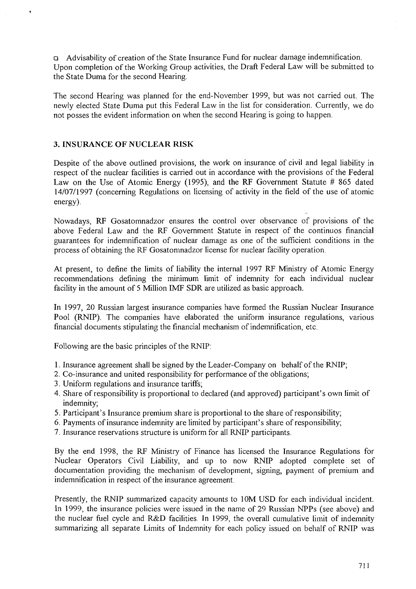a Advisability of creation of the State Insurance Fund for nuclear damage indemnification. Upon completion of the Working Group activities, the Draft Federal Law will be submitted to the State Duma for the second Hearing.

The second Hearing was planned for the end-November 1999, but was not carried out. The newly elected State Duma put this Federal Law in the list for consideration. Currently, we do not posses the evident information on when the second Hearing is going to happen.

### **3. INSURANCE OF NUCLEAR RISK**

Despite of the above outlined provisions, the work on insurance of civil and legal liability in respect of the nuclear facilities is carried out in accordance with the provisions of the Federal Law on the Use of Atomic Energy (1995), and the RF Government Statute # 865 dated 14/07/1997 (concerning Regulations on licensing of activity in the field of the use of atomic energy).

Nowadays, RF Gosatomnadzor ensures the control over observance of provisions of the above Federal Law and the RF Government Statute in respect of the continuos financial guarantees for indemnification of nuclear damage as one of the sufficient conditions in the process of obtaining the RF Gosatomnadzor license for nuclear facility operation.

At present, to define the limits of liability the internal 1997 RF Ministry of Atomic Energy recommendations defining the minimum limit of indemnity for each individual nuclear facility in the amount of 5 Million IMF SDR are utilized as basic approach.

In 1997, 20 Russian largest insurance companies have formed the Russian Nuclear Insurance Pool (RNIP). The companies have elaborated the uniform insurance regulations, various financial documents stipulating the financial mechanism of indemnification, etc.

Following are the basic principles of the RNIP:

- 1. Insurance agreement shall be signed by the Leader-Company on behalf of the RNIP;
- 2. Co-insurance and united responsibility for performance of the obligations;
- 3. Uniform regulations and insurance tariffs;
- 4. Share of responsibility is proportional to declared (and approved) participant's own limit of indemnity;
- 5. Participant's Insurance premium share is proportional to the share of responsibility;
- 6. Payments of insurance indemnity are limited by participant's share of responsibility;
- 7. Insurance reservations structure is uniform for all RNIP participants.

By the end 1998, the RF Ministry of Finance has licensed the Insurance Regulations for Nuclear Operators Civil Liability, and up to now RNIP adopted complete set of documentation providing the mechanism of development, signing, payment of premium and indemnification in respect of the insurance agreement.

Presently, the RNIP summarized capacity amounts to 10M USD for each individual incident. In 1999, the insurance policies were issued in the name of 29 Russian NPPs (see above) and the nuclear fuel cycle and R&D facilities. In 1999, the overall cumulative limit of indemnity summarizing all separate Limits of Indemnity for each policy issued on behalf of RNIP was